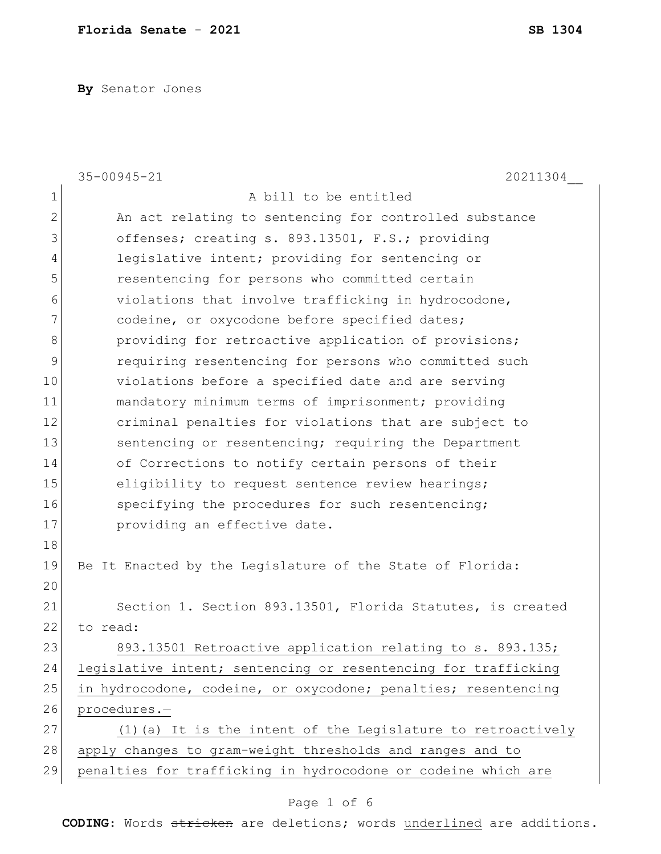**By** Senator Jones

|              | $35 - 00945 - 21$<br>20211304                                  |
|--------------|----------------------------------------------------------------|
| 1            | A bill to be entitled                                          |
| $\mathbf{2}$ | An act relating to sentencing for controlled substance         |
| 3            | offenses; creating s. 893.13501, F.S.; providing               |
| 4            | legislative intent; providing for sentencing or                |
| 5            | resentencing for persons who committed certain                 |
| 6            | violations that involve trafficking in hydrocodone,            |
| 7            | codeine, or oxycodone before specified dates;                  |
| 8            | providing for retroactive application of provisions;           |
| 9            | requiring resentencing for persons who committed such          |
| 10           | violations before a specified date and are serving             |
| 11           | mandatory minimum terms of imprisonment; providing             |
| 12           | criminal penalties for violations that are subject to          |
| 13           | sentencing or resentencing; requiring the Department           |
| 14           | of Corrections to notify certain persons of their              |
| 15           | eligibility to request sentence review hearings;               |
| 16           | specifying the procedures for such resentencing;               |
| 17           | providing an effective date.                                   |
| 18           |                                                                |
| 19           | Be It Enacted by the Legislature of the State of Florida:      |
| 20           |                                                                |
| 21           | Section 1. Section 893.13501, Florida Statutes, is created     |
| 22           | to read:                                                       |
| 23           | 893.13501 Retroactive application relating to s. 893.135;      |
| 24           | legislative intent; sentencing or resentencing for trafficking |
| 25           | in hydrocodone, codeine, or oxycodone; penalties; resentencing |
| 26           | procedures.-                                                   |
| 27           | (1) (a) It is the intent of the Legislature to retroactively   |
| 28           | apply changes to gram-weight thresholds and ranges and to      |
| 29           | penalties for trafficking in hydrocodone or codeine which are  |

# Page 1 of 6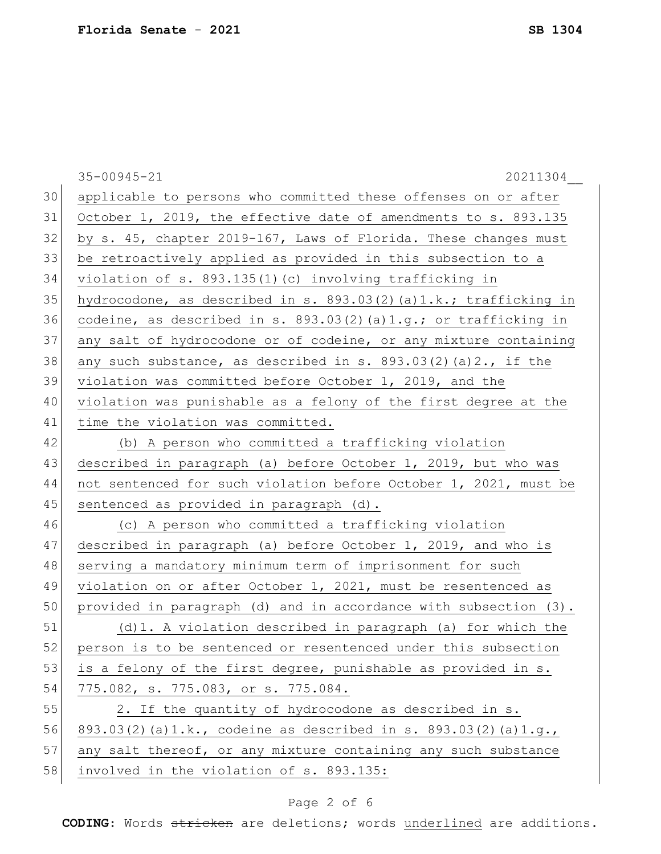|    | 35-00945-21<br>20211304                                              |
|----|----------------------------------------------------------------------|
| 30 | applicable to persons who committed these offenses on or after       |
| 31 | October 1, 2019, the effective date of amendments to s. 893.135      |
| 32 | by s. 45, chapter 2019-167, Laws of Florida. These changes must      |
| 33 | be retroactively applied as provided in this subsection to a         |
| 34 | violation of s. 893.135(1)(c) involving trafficking in               |
| 35 | hydrocodone, as described in s. $893.03(2)$ (a)1.k.; trafficking in  |
| 36 | codeine, as described in s. $893.03(2)$ (a)1.g.; or trafficking in   |
| 37 | any salt of hydrocodone or of codeine, or any mixture containing     |
| 38 | any such substance, as described in s. $893.03(2)$ (a) $2.$ , if the |
| 39 | violation was committed before October 1, 2019, and the              |
| 40 | violation was punishable as a felony of the first degree at the      |
| 41 | time the violation was committed.                                    |
| 42 | (b) A person who committed a trafficking violation                   |
| 43 | described in paragraph (a) before October 1, 2019, but who was       |
| 44 | not sentenced for such violation before October 1, 2021, must be     |
| 45 | sentenced as provided in paragraph (d).                              |
| 46 | (c) A person who committed a trafficking violation                   |
| 47 | described in paragraph (a) before October 1, 2019, and who is        |
| 48 | serving a mandatory minimum term of imprisonment for such            |
| 49 | violation on or after October 1, 2021, must be resentenced as        |
| 50 | provided in paragraph (d) and in accordance with subsection (3).     |
| 51 | (d) 1. A violation described in paragraph (a) for which the          |
| 52 | person is to be sentenced or resentenced under this subsection       |
| 53 | is a felony of the first degree, punishable as provided in s.        |
| 54 | 775.082, s. 775.083, or s. 775.084.                                  |
| 55 | 2. If the quantity of hydrocodone as described in s.                 |
| 56 | 893.03(2)(a)1.k., codeine as described in s. 893.03(2)(a)1.g.,       |
| 57 | any salt thereof, or any mixture containing any such substance       |
| 58 | involved in the violation of s. 893.135:                             |

# Page 2 of 6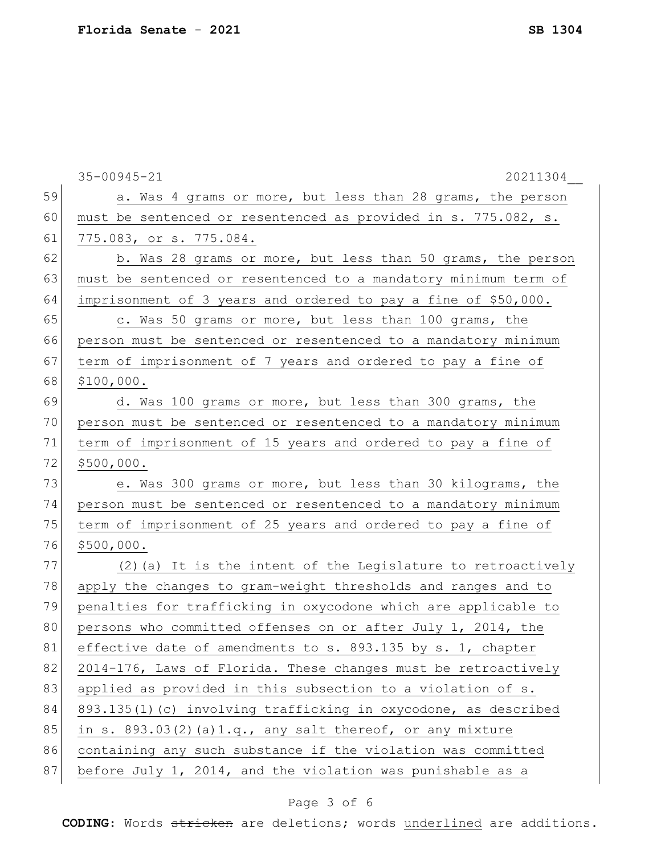|    | 35-00945-21<br>20211304                                         |
|----|-----------------------------------------------------------------|
| 59 | a. Was 4 grams or more, but less than 28 grams, the person      |
| 60 | must be sentenced or resentenced as provided in s. 775.082, s.  |
| 61 | 775.083, or s. 775.084.                                         |
| 62 | b. Was 28 grams or more, but less than 50 grams, the person     |
| 63 | must be sentenced or resentenced to a mandatory minimum term of |
| 64 | imprisonment of 3 years and ordered to pay a fine of \$50,000.  |
| 65 | c. Was 50 grams or more, but less than 100 grams, the           |
| 66 | person must be sentenced or resentenced to a mandatory minimum  |
| 67 | term of imprisonment of 7 years and ordered to pay a fine of    |
| 68 | \$100,000.                                                      |
| 69 | d. Was 100 grams or more, but less than 300 grams, the          |
| 70 | person must be sentenced or resentenced to a mandatory minimum  |
| 71 | term of imprisonment of 15 years and ordered to pay a fine of   |
| 72 | \$500,000.                                                      |
| 73 | e. Was 300 grams or more, but less than 30 kilograms, the       |
| 74 | person must be sentenced or resentenced to a mandatory minimum  |
| 75 | term of imprisonment of 25 years and ordered to pay a fine of   |
| 76 | \$500,000.                                                      |
| 77 | (2) (a) It is the intent of the Legislature to retroactively    |
| 78 | apply the changes to gram-weight thresholds and ranges and to   |
| 79 | penalties for trafficking in oxycodone which are applicable to  |
| 80 | persons who committed offenses on or after July 1, 2014, the    |
| 81 | effective date of amendments to s. 893.135 by s. 1, chapter     |
| 82 | 2014-176, Laws of Florida. These changes must be retroactively  |
| 83 | applied as provided in this subsection to a violation of s.     |
| 84 | 893.135(1)(c) involving trafficking in oxycodone, as described  |
| 85 | in s. $893.03(2)$ (a)1.q., any salt thereof, or any mixture     |
| 86 | containing any such substance if the violation was committed    |
| 87 | before July 1, 2014, and the violation was punishable as a      |

# Page 3 of 6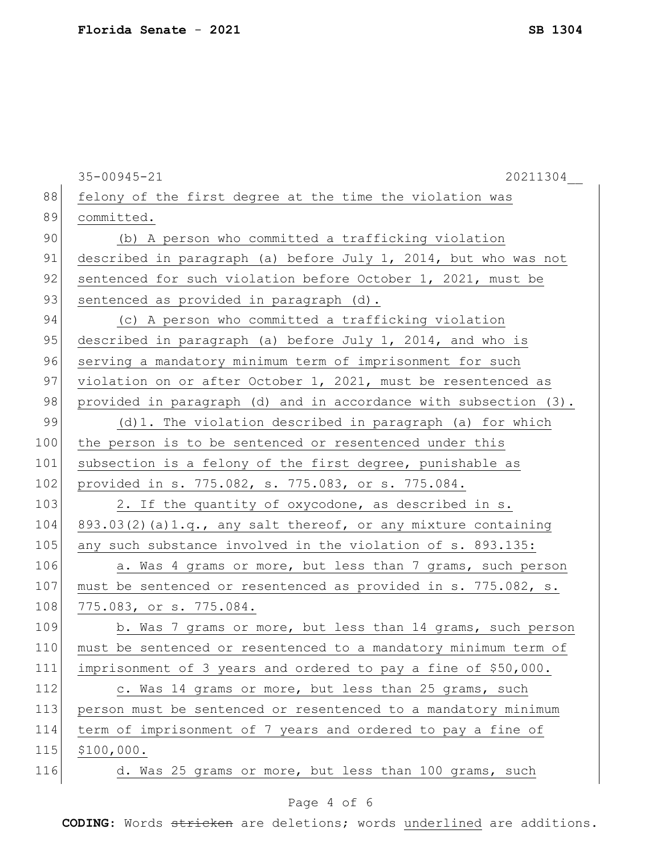|     | 35-00945-21<br>20211304                                           |
|-----|-------------------------------------------------------------------|
| 88  | felony of the first degree at the time the violation was          |
| 89  | committed.                                                        |
| 90  | (b) A person who committed a trafficking violation                |
| 91  | described in paragraph (a) before July 1, 2014, but who was not   |
| 92  | sentenced for such violation before October 1, 2021, must be      |
| 93  | sentenced as provided in paragraph (d).                           |
| 94  | (c) A person who committed a trafficking violation                |
| 95  | described in paragraph (a) before July 1, 2014, and who is        |
| 96  | serving a mandatory minimum term of imprisonment for such         |
| 97  | violation on or after October 1, 2021, must be resentenced as     |
| 98  | provided in paragraph (d) and in accordance with subsection (3).  |
| 99  | (d)1. The violation described in paragraph (a) for which          |
| 100 | the person is to be sentenced or resentenced under this           |
| 101 | subsection is a felony of the first degree, punishable as         |
| 102 | provided in s. 775.082, s. 775.083, or s. 775.084.                |
| 103 | 2. If the quantity of oxycodone, as described in s.               |
| 104 | $893.03(2)$ (a) 1.q., any salt thereof, or any mixture containing |
| 105 | any such substance involved in the violation of s. 893.135:       |
| 106 | a. Was 4 grams or more, but less than 7 grams, such person        |
| 107 | must be sentenced or resentenced as provided in s. 775.082, s.    |
| 108 | 775.083, or s. 775.084.                                           |
| 109 | b. Was 7 grams or more, but less than 14 grams, such person       |
| 110 | must be sentenced or resentenced to a mandatory minimum term of   |
| 111 | imprisonment of 3 years and ordered to pay a fine of \$50,000.    |
| 112 | c. Was 14 grams or more, but less than 25 grams, such             |
| 113 | person must be sentenced or resentenced to a mandatory minimum    |
| 114 | term of imprisonment of 7 years and ordered to pay a fine of      |
| 115 | \$100,000.                                                        |
| 116 | d. Was 25 grams or more, but less than 100 grams, such            |

# Page 4 of 6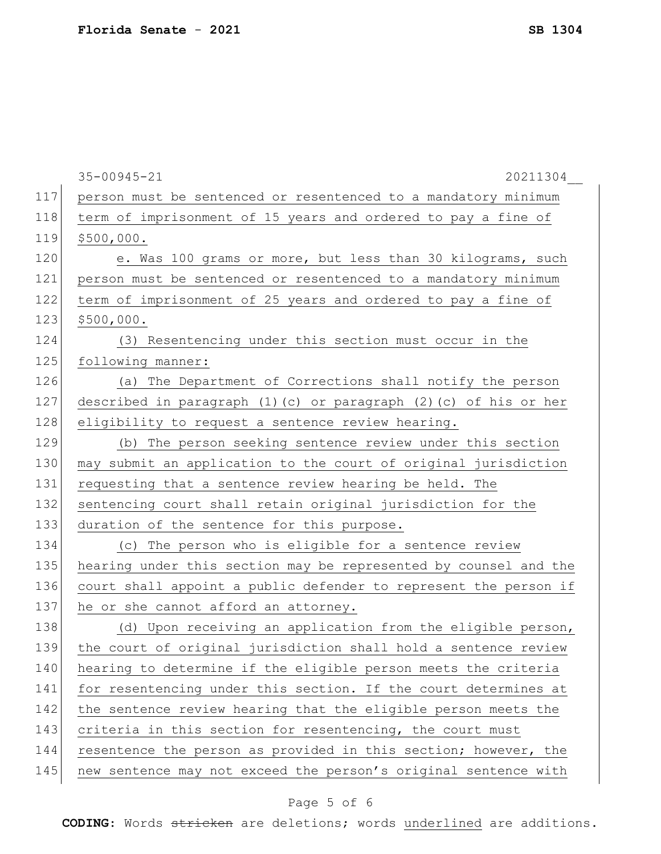|     | 35-00945-21<br>20211304                                               |
|-----|-----------------------------------------------------------------------|
| 117 | person must be sentenced or resentenced to a mandatory minimum        |
| 118 | term of imprisonment of 15 years and ordered to pay a fine of         |
| 119 | \$500,000.                                                            |
| 120 | e. Was 100 grams or more, but less than 30 kilograms, such            |
| 121 | person must be sentenced or resentenced to a mandatory minimum        |
| 122 | term of imprisonment of 25 years and ordered to pay a fine of         |
| 123 | \$500,000.                                                            |
| 124 | (3) Resentencing under this section must occur in the                 |
| 125 | following manner:                                                     |
| 126 | (a) The Department of Corrections shall notify the person             |
| 127 | described in paragraph $(1)$ (c) or paragraph $(2)$ (c) of his or her |
| 128 | eligibility to request a sentence review hearing.                     |
| 129 | (b) The person seeking sentence review under this section             |
| 130 | may submit an application to the court of original jurisdiction       |
| 131 | requesting that a sentence review hearing be held. The                |
| 132 | sentencing court shall retain original jurisdiction for the           |
| 133 | duration of the sentence for this purpose.                            |
| 134 | (c) The person who is eligible for a sentence review                  |
| 135 | hearing under this section may be represented by counsel and the      |
| 136 | court shall appoint a public defender to represent the person if      |
| 137 | he or she cannot afford an attorney.                                  |
| 138 | (d) Upon receiving an application from the eligible person,           |
| 139 | the court of original jurisdiction shall hold a sentence review       |
| 140 | hearing to determine if the eligible person meets the criteria        |
| 141 | for resentencing under this section. If the court determines at       |
| 142 | the sentence review hearing that the eligible person meets the        |
| 143 | criteria in this section for resentencing, the court must             |
| 144 | resentence the person as provided in this section; however, the       |
| 145 | new sentence may not exceed the person's original sentence with       |
|     |                                                                       |

# Page 5 of 6